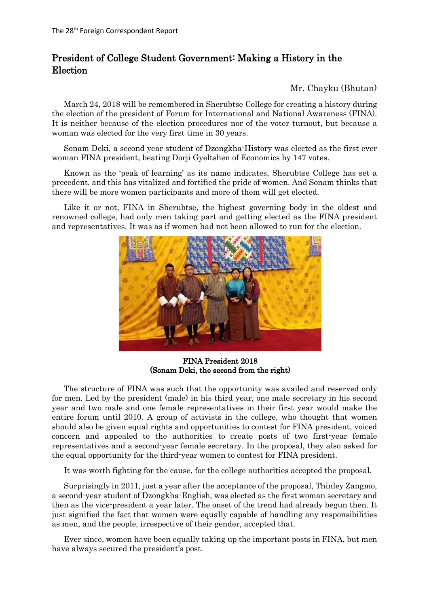## President of College Student Government: Making a History in the Election

Mr. Chayku (Bhutan)

March 24, 2018 will be remembered in Sherubtse College for creating a history during the election of the president of Forum for International and National Awareness (FINA). It is neither because of the election procedures nor of the voter turnout, but because a woman was elected for the very first time in 30 years.

Sonam Deki, a second year student of Dzongkha-History was elected as the first ever woman FINA president, beating Dorji Gyeltshen of Economics by 147 votes.

Known as the 'peak of learning' as its name indicates, Sherubtse College has set a precedent, and this has vitalized and fortified the pride of women. And Sonam thinks that there will be more women participants and more of them will get elected.

Like it or not, FINA in Sherubtse, the highest governing body in the oldest and renowned college, had only men taking part and getting elected as the FINA president and representatives. It was as if women had not been allowed to run for the election.



FINA President 2018 (Sonam Deki, the second from the right)

The structure of FINA was such that the opportunity was availed and reserved only for men. Led by the president (male) in his third year, one male secretary in his second year and two male and one female representatives in their first year would make the entire forum until 2010. A group of activists in the college, who thought that women should also be given equal rights and opportunities to contest for FINA president, voiced concern and appealed to the authorities to create posts of two first-year female representatives and a second-year female secretary. In the proposal, they also asked for the equal opportunity for the third-year women to contest for FINA president.

It was worth fighting for the cause, for the college authorities accepted the proposal.

Surprisingly in 2011, just a year after the acceptance of the proposal, Thinley Zangmo, a second-year student of Dzongkha-English, was elected as the first woman secretary and then as the vice-president a year later. The onset of the trend had already begun then. It just signified the fact that women were equally capable of handling any responsibilities as men, and the people, irrespective of their gender, accepted that.

Ever since, women have been equally taking up the important posts in FINA, but men have always secured the president's post.